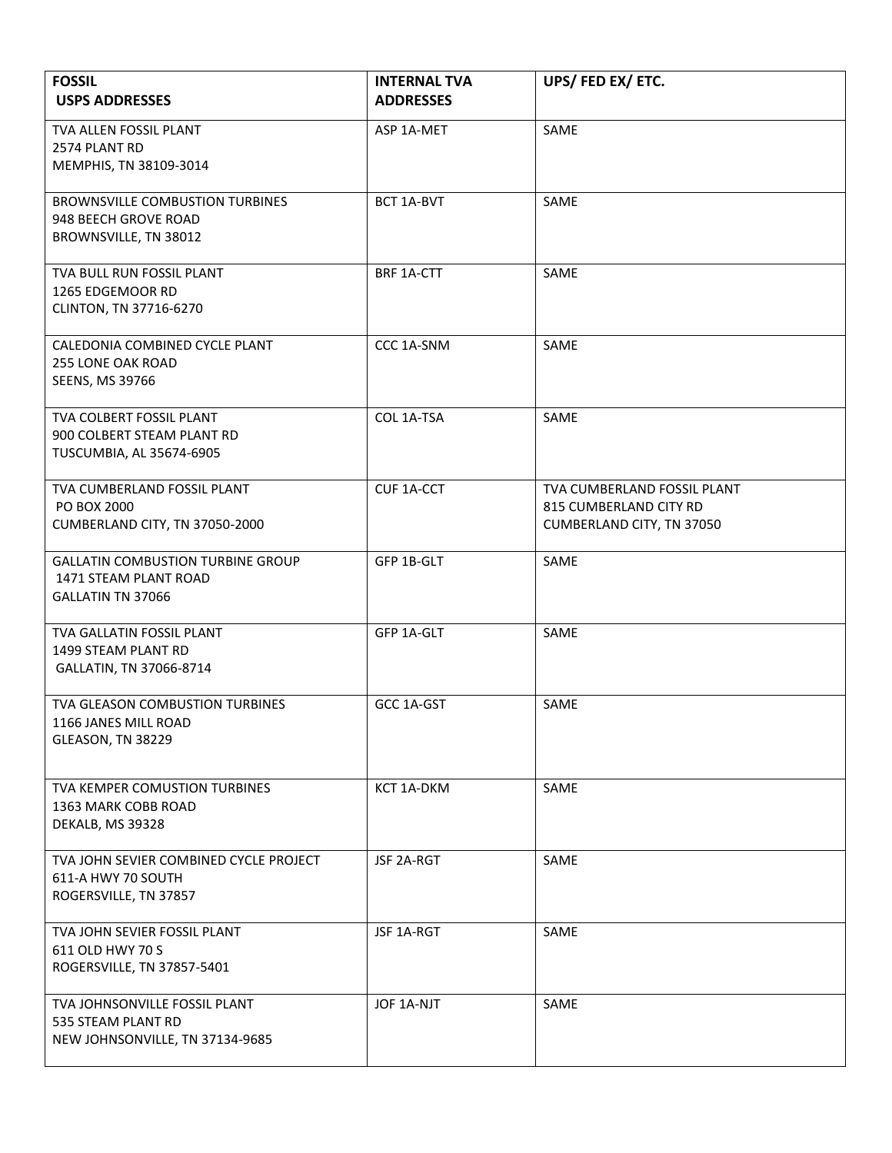| <b>FOSSIL</b><br><b>USPS ADDRESSES</b>                                                  | <b>INTERNAL TVA</b><br><b>ADDRESSES</b> | UPS/FED EX/ETC.                                                                    |
|-----------------------------------------------------------------------------------------|-----------------------------------------|------------------------------------------------------------------------------------|
| TVA ALLEN FOSSIL PLANT<br>2574 PLANT RD<br>MEMPHIS, TN 38109-3014                       | ASP 1A-MET                              | SAME                                                                               |
| <b>BROWNSVILLE COMBUSTION TURBINES</b><br>948 BEECH GROVE ROAD<br>BROWNSVILLE, TN 38012 | BCT 1A-BVT                              | SAME                                                                               |
| TVA BULL RUN FOSSIL PLANT<br>1265 EDGEMOOR RD<br>CLINTON, TN 37716-6270                 | BRF 1A-CTT                              | SAME                                                                               |
| CALEDONIA COMBINED CYCLE PLANT<br>255 LONE OAK ROAD<br>SEENS, MS 39766                  | CCC 1A-SNM                              | SAME                                                                               |
| TVA COLBERT FOSSIL PLANT<br>900 COLBERT STEAM PLANT RD<br>TUSCUMBIA, AL 35674-6905      | COL 1A-TSA                              | SAME                                                                               |
| TVA CUMBERLAND FOSSIL PLANT<br>PO BOX 2000<br>CUMBERLAND CITY, TN 37050-2000            | <b>CUF 1A-CCT</b>                       | TVA CUMBERLAND FOSSIL PLANT<br>815 CUMBERLAND CITY RD<br>CUMBERLAND CITY, TN 37050 |
| <b>GALLATIN COMBUSTION TURBINE GROUP</b><br>1471 STEAM PLANT ROAD<br>GALLATIN TN 37066  | GFP 1B-GLT                              | SAME                                                                               |
| TVA GALLATIN FOSSIL PLANT<br>1499 STEAM PLANT RD<br>GALLATIN, TN 37066-8714             | GFP 1A-GLT                              | SAME                                                                               |
| TVA GLEASON COMBUSTION TURBINES<br>1166 JANES MILL ROAD<br>GLEASON, TN 38229            | GCC 1A-GST                              | SAME                                                                               |
| TVA KEMPER COMUSTION TURBINES<br>1363 MARK COBB ROAD<br>DEKALB, MS 39328                | KCT 1A-DKM                              | SAME                                                                               |
| TVA JOHN SEVIER COMBINED CYCLE PROJECT<br>611-A HWY 70 SOUTH<br>ROGERSVILLE, TN 37857   | JSF 2A-RGT                              | SAME                                                                               |
| TVA JOHN SEVIER FOSSIL PLANT<br>611 OLD HWY 70 S<br>ROGERSVILLE, TN 37857-5401          | JSF 1A-RGT                              | SAME                                                                               |
| TVA JOHNSONVILLE FOSSIL PLANT<br>535 STEAM PLANT RD<br>NEW JOHNSONVILLE, TN 37134-9685  | JOF 1A-NJT                              | SAME                                                                               |